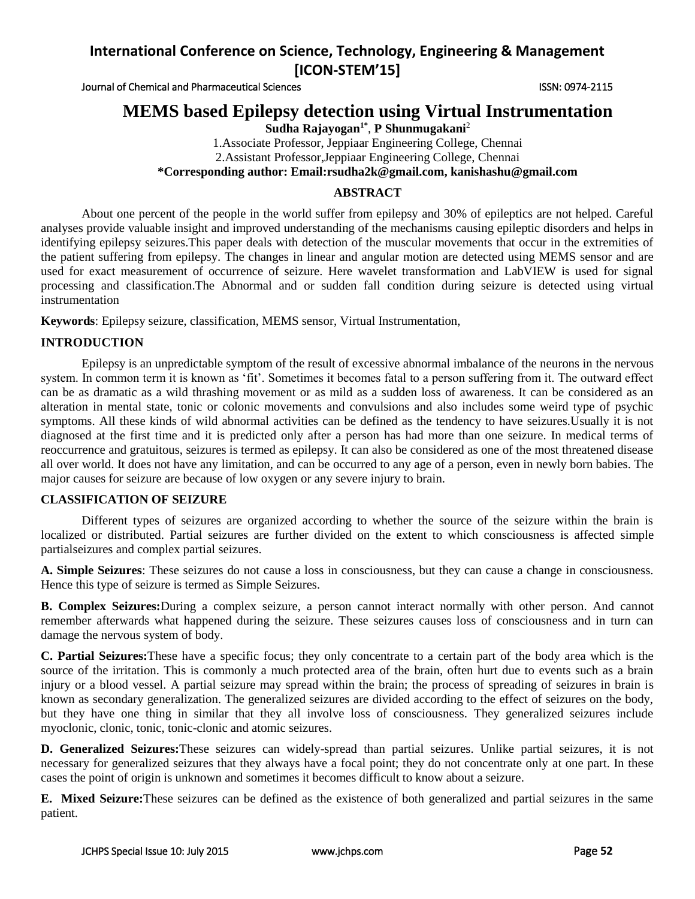Journal of Chemical and Pharmaceutical Sciences **ISSN: 0974-2115** ISSN: 0974-2115

# **MEMS based Epilepsy detection using Virtual Instrumentation**

**Sudha Rajayogan1\*** , **P Shunmugakani**<sup>2</sup>

1.Associate Professor, Jeppiaar Engineering College, Chennai 2.Assistant Professor,Jeppiaar Engineering College, Chennai **\*Corresponding author: Email:rsudha2k@gmail.com, kanishashu@gmail.com**

## **ABSTRACT**

About one percent of the people in the world suffer from epilepsy and 30% of epileptics are not helped. Careful analyses provide valuable insight and improved understanding of the mechanisms causing epileptic disorders and helps in identifying epilepsy seizures.This paper deals with detection of the muscular movements that occur in the extremities of the patient suffering from epilepsy. The changes in linear and angular motion are detected using MEMS sensor and are used for exact measurement of occurrence of seizure. Here wavelet transformation and LabVIEW is used for signal processing and classification.The Abnormal and or sudden fall condition during seizure is detected using virtual instrumentation

**Keywords**: Epilepsy seizure, classification, MEMS sensor, Virtual Instrumentation,

## **INTRODUCTION**

Epilepsy is an unpredictable symptom of the result of excessive abnormal imbalance of the neurons in the nervous system. In common term it is known as 'fit'. Sometimes it becomes fatal to a person suffering from it. The outward effect can be as dramatic as a wild thrashing movement or as mild as a sudden loss of awareness. It can be considered as an alteration in mental state, tonic or colonic movements and convulsions and also includes some weird type of psychic symptoms. All these kinds of wild abnormal activities can be defined as the tendency to have seizures.Usually it is not diagnosed at the first time and it is predicted only after a person has had more than one seizure. In medical terms of reoccurrence and gratuitous, seizures is termed as epilepsy. It can also be considered as one of the most threatened disease all over world. It does not have any limitation, and can be occurred to any age of a person, even in newly born babies. The major causes for seizure are because of low oxygen or any severe injury to brain.

## **CLASSIFICATION OF SEIZURE**

Different types of seizures are organized according to whether the source of the seizure within the brain is localized or distributed. Partial seizures are further divided on the extent to which consciousness is affected [simple](http://en.wikipedia.org/wiki/Simple_partial_seizures)  [partialseizures a](http://en.wikipedia.org/wiki/Simple_partial_seizures)nd [complex partial seizures.](http://en.wikipedia.org/wiki/Complex_partial_seizures)

**A. Simple Seizures**: These seizures do not cause a loss in consciousness, but they can cause a change in consciousness. Hence this type of seizure is termed as Simple Seizures.

**B. Complex Seizures:**During a complex seizure, a person cannot interact normally with other person. And cannot remember afterwards what happened during the seizure. These seizures causes loss of consciousness and in turn can damage the nervous system of body.

**C. Partial Seizures:**These have a specific focus; they only concentrate to a certain part of the body area which is the source of the irritation. This is commonly a much protected area of the brain, often hurt due to events such as a brain injury or a blood vessel. A partial seizure may spread within the brain; the process of spreading of seizures in brain is known as secondary generalization. The generalized seizures are divided according to the effect of seizures on the body, but they have one thing in similar that they all involve loss of consciousness. They generalized seizures include myoclonic, clonic, tonic, tonic-clonic and atomic seizures.

**D. Generalized Seizures:**These seizures can widely-spread than partial seizures. Unlike partial seizures, it is not necessary for generalized seizures that they always have a focal point; they do not concentrate only at one part. In these cases the point of origin is unknown and sometimes it becomes difficult to know about a seizure.

**E. Mixed Seizure:**These seizures can be defined as the existence of both generalized and partial seizures in the same patient.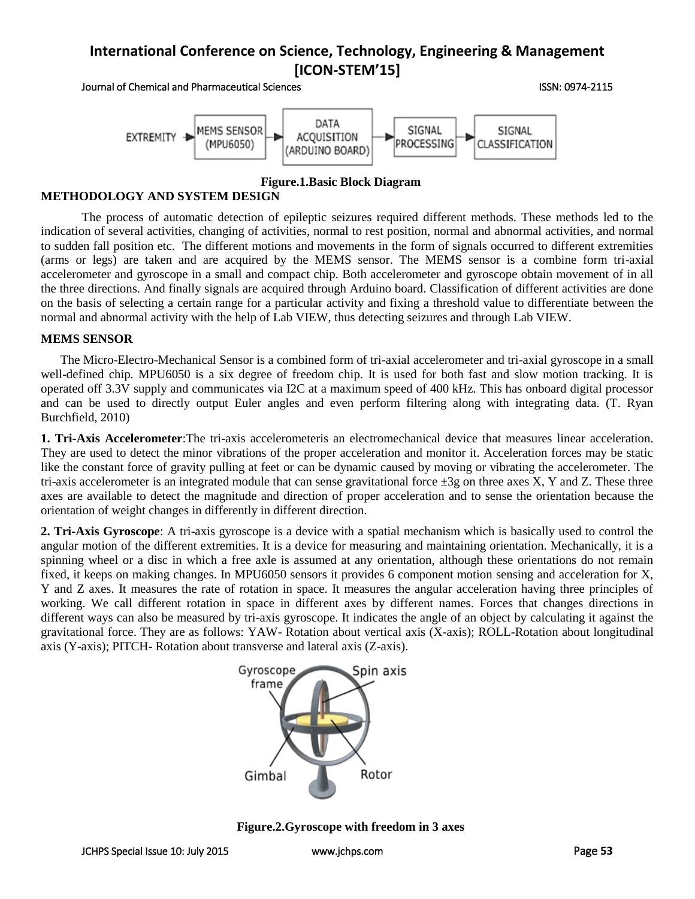Journal of Chemical and Pharmaceutical Sciences ISSN: 0974-2115



### **Figure.1.Basic Block Diagram**

#### **METHODOLOGY AND SYSTEM DESIGN**

The process of automatic detection of epileptic seizures required different methods. These methods led to the indication of several activities, changing of activities, normal to rest position, normal and abnormal activities, and normal to sudden fall position etc. The different motions and movements in the form of signals occurred to different extremities (arms or legs) are taken and are acquired by the MEMS sensor. The MEMS sensor is a combine form tri-axial accelerometer and gyroscope in a small and compact chip. Both accelerometer and gyroscope obtain movement of in all the three directions. And finally signals are acquired through Arduino board. Classification of different activities are done on the basis of selecting a certain range for a particular activity and fixing a threshold value to differentiate between the normal and abnormal activity with the help of Lab VIEW, thus detecting seizures and through Lab VIEW.

#### **MEMS SENSOR**

The Micro-Electro-Mechanical Sensor is a combined form of tri-axial accelerometer and tri-axial gyroscope in a small well-defined chip. MPU6050 is a six degree of freedom chip. It is used for both fast and slow motion tracking. It is operated off 3.3V supply and communicates via I2C at a maximum speed of 400 kHz. This has onboard digital processor and can be used to directly output Euler angles and even perform filtering along with integrating data. (T. Ryan Burchfield, 2010)

**1. Tri-Axis Accelerometer**:The tri-axis accelerometeris an electromechanical device that measures linear acceleration. They are used to detect the minor vibrations of the proper acceleration and monitor it. Acceleration forces may be static like the constant force of gravity pulling at feet or can be dynamic caused by moving or vibrating the accelerometer. The tri-axis accelerometer is an integrated module that can sense gravitational force  $\pm 3g$  on three axes X, Y and Z. These three axes are available to detect the magnitude and direction of proper acceleration and to sense the orientation because the orientation of weight changes in differently in different direction.

**2. Tri-Axis Gyroscope**: A tri-axis gyroscope is a device with a spatial mechanism which is basically used to control the angular motion of the different extremities. It is a device for measuring and maintaining orientation. Mechanically, it is a spinning wheel or a disc in which a free axle is assumed at any orientation, although these orientations do not remain fixed, it keeps on making changes. In MPU6050 sensors it provides 6 component motion sensing and acceleration for X, Y and Z axes. It measures the rate of rotation in space. It measures the angular acceleration having three principles of working. We call different rotation in space in different axes by different names. Forces that changes directions in different ways can also be measured by tri-axis gyroscope. It indicates the angle of an object by calculating it against the gravitational force. They are as follows: YAW- Rotation about vertical axis (X-axis); ROLL-Rotation about longitudinal axis (Y-axis); PITCH- Rotation about transverse and lateral axis (Z-axis).



**Figure.2.Gyroscope with freedom in 3 axes**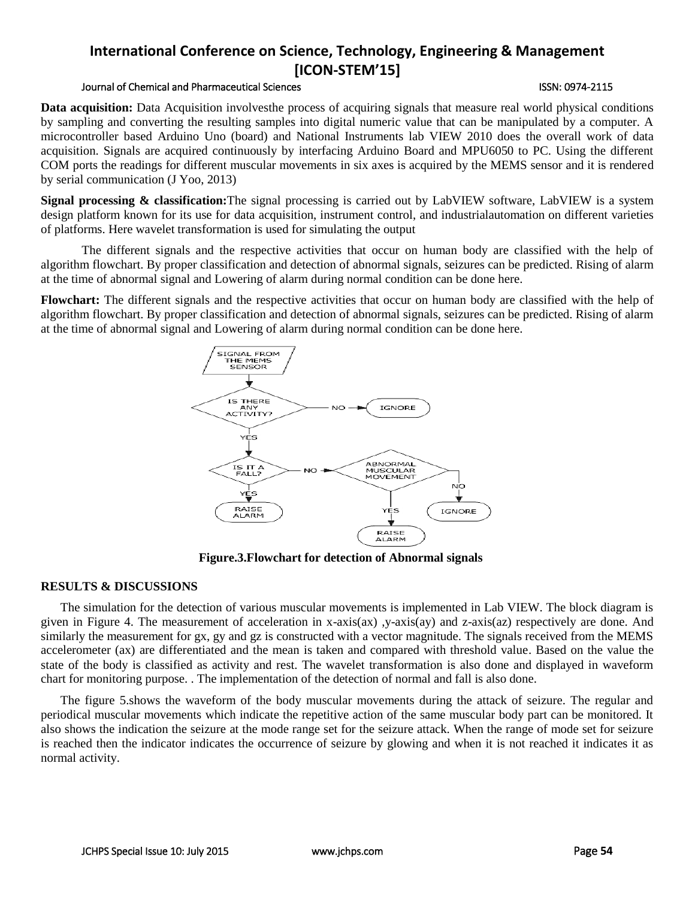#### Journal of Chemical and Pharmaceutical Sciences ISSN: 0974-2115

**Data acquisition:** Data Acquisition involves the process of acquiring signals that measure real world physical conditions by sampling and converting the resulting samples into digital numeric value that can be manipulated by a computer. A microcontroller based Arduino Uno (board) and National Instruments lab VIEW 2010 does the overall work of data acquisition. Signals are acquired continuously by interfacing Arduino Board and MPU6050 to PC. Using the different COM ports the readings for different muscular movements in six axes is acquired by the MEMS sensor and it is rendered by serial communication (J Yoo, 2013)

**Signal processing & classification:**The signal processing is carried out by LabVIEW software, LabVIEW is a system design platform known for its use for [data acquisition, instrument control, a](http://en.wikipedia.org/wiki/Data_acquisition)nd [industrialautomation o](http://en.wikipedia.org/wiki/Automation)n different varieties of platforms. Here wavelet transformation is used for simulating the output

The different signals and the respective activities that occur on human body are classified with the help of algorithm flowchart. By proper classification and detection of abnormal signals, seizures can be predicted. Rising of alarm at the time of abnormal signal and Lowering of alarm during normal condition can be done here.

**Flowchart:** The different signals and the respective activities that occur on human body are classified with the help of algorithm flowchart. By proper classification and detection of abnormal signals, seizures can be predicted. Rising of alarm at the time of abnormal signal and Lowering of alarm during normal condition can be done here.



**Figure.3.Flowchart for detection of Abnormal signals** 

## **RESULTS & DISCUSSIONS**

The simulation for the detection of various muscular movements is implemented in Lab VIEW. The block diagram is given in Figure 4. The measurement of acceleration in x-axis(ax)  $y$ -axis(ay) and z-axis(az) respectively are done. And similarly the measurement for gx, gy and gz is constructed with a vector magnitude. The signals received from the MEMS accelerometer (ax) are differentiated and the mean is taken and compared with threshold value. Based on the value the state of the body is classified as activity and rest. The wavelet transformation is also done and displayed in waveform chart for monitoring purpose. . The implementation of the detection of normal and fall is also done.

The figure 5.shows the waveform of the body muscular movements during the attack of seizure. The regular and periodical muscular movements which indicate the repetitive action of the same muscular body part can be monitored. It also shows the indication the seizure at the mode range set for the seizure attack. When the range of mode set for seizure is reached then the indicator indicates the occurrence of seizure by glowing and when it is not reached it indicates it as normal activity.